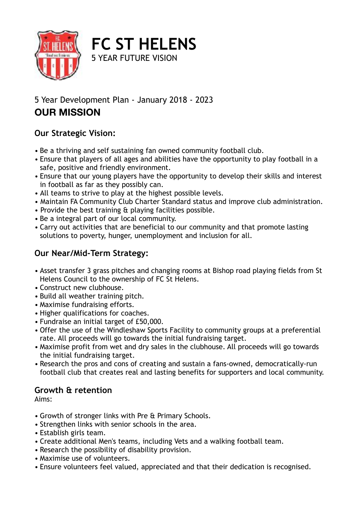

5 YEAR FUTURE VISION

**FC ST HELENS**

## 5 Year Development Plan - January 2018 - 2023 **OUR MISSION**

## **Our Strategic Vision:**

- Be a thriving and self sustaining fan owned community football club.
- Ensure that players of all ages and abilities have the opportunity to play football in a safe, positive and friendly environment.
- Ensure that our young players have the opportunity to develop their skills and interest in football as far as they possibly can.
- All teams to strive to play at the highest possible levels.
- Maintain FA Community Club Charter Standard status and improve club administration.
- Provide the best training & playing facilities possible.
- Be a integral part of our local community.
- Carry out activities that are beneficial to our community and that promote lasting solutions to poverty, hunger, unemployment and inclusion for all.

## **Our Near/Mid-Term Strategy:**

- Asset transfer 3 grass pitches and changing rooms at Bishop road playing fields from St Helens Council to the ownership of FC St Helens.
- Construct new clubhouse.
- Build all weather training pitch.
- Maximise fundraising efforts.
- Higher qualifications for coaches.
- Fundraise an initial target of £50,000.
- Offer the use of the Windleshaw Sports Facility to community groups at a preferential rate. All proceeds will go towards the initial fundraising target.
- Maximise profit from wet and dry sales in the clubhouse. All proceeds will go towards the initial fundraising target.
- Research the pros and cons of creating and sustain a fans-owned, democratically-run football club that creates real and lasting benefits for supporters and local community.

## **Growth & retention**

Aims:

- Growth of stronger links with Pre & Primary Schools.
- Strengthen links with senior schools in the area.
- Establish girls team.
- Create additional Men's teams, including Vets and a walking football team.
- Research the possibility of disability provision.
- Maximise use of volunteers.
- Ensure volunteers feel valued, appreciated and that their dedication is recognised.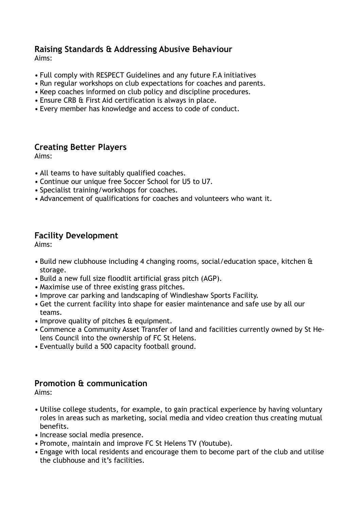## **Raising Standards & Addressing Abusive Behaviour**

Aims:

- Full comply with RESPECT Guidelines and any future F.A initiatives
- Run regular workshops on club expectations for coaches and parents.
- Keep coaches informed on club policy and discipline procedures.
- Ensure CRB & First Aid certification is always in place.
- Every member has knowledge and access to code of conduct.

### **Creating Better Players**

Aims:

- All teams to have suitably qualified coaches.
- Continue our unique free Soccer School for U5 to U7.
- Specialist training/workshops for coaches.
- Advancement of qualifications for coaches and volunteers who want it.

### **Facility Development**

Aims:

- Build new clubhouse including 4 changing rooms, social/education space, kitchen & storage.
- Build a new full size floodlit artificial grass pitch (AGP).
- Maximise use of three existing grass pitches.
- Improve car parking and landscaping of Windleshaw Sports Facility.
- Get the current facility into shape for easier maintenance and safe use by all our teams.
- Improve quality of pitches & equipment.
- Commence a Community Asset Transfer of land and facilities currently owned by St Helens Council into the ownership of FC St Helens.
- Eventually build a 500 capacity football ground.

### **Promotion & communication**

Aims:

- Utilise college students, for example, to gain practical experience by having voluntary roles in areas such as marketing, social media and video creation thus creating mutual benefits.
- Increase social media presence.
- Promote, maintain and improve FC St Helens TV (Youtube).
- Engage with local residents and encourage them to become part of the club and utilise the clubhouse and it's facilities.